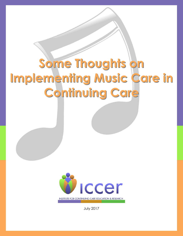# **Some Thoughts on Implementing Music Care in Continuing Care**



July 2017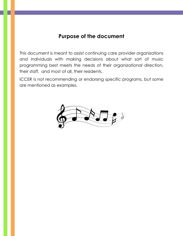## **Purpose of the document**

This document is meant to assist continuing care provider organizations and individuals with making decisions about what sort of music programming best meets the needs of their organizational direction, their staff, and most of all, their residents.

ICCER is not recommending or endorsing specific programs, but some are mentioned as examples.

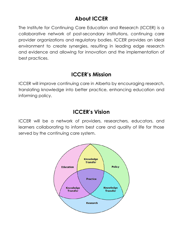# **About ICCER**

The Institute for Continuing Care Education and Research (ICCER) is a collaborative network of post-secondary institutions, continuing care provider organizations and regulatory bodies. ICCER provides an ideal environment to create synergies, resulting in leading edge research and evidence and allowing for innovation and the implementation of best practices.

# **ICCER's Mission**

ICCER will improve continuing care in Alberta by encouraging research, translating knowledge into better practice, enhancing education and informing policy.

# **ICCER's Vision**

ICCER will be a network of providers, researchers, educators, and learners collaborating to inform best care and quality of life for those served by the continuing care system.

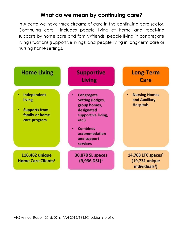# **What do we mean by continuing care?**

In Alberta we have three streams of care in the continuing care sector. Continuing care includes people living at home and receiving supports by home care and family/friends; people living in congregate living situations (supportive living); and people living in long-term care or nursing home settings.

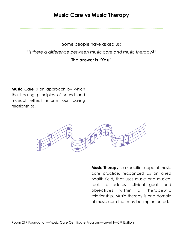# **Music Care vs Music Therapy**

Some people have asked us:

*"Is there a difference between music care and music therapy?"*

#### **The answer is** *"Yes!"*

**Music Care** is an approach by which the healing principles of sound and musical effect inform our caring relationships.



**Music Therapy** is a specific scope of music care practice, recognized as an allied health field, that uses music and musical tools to address clinical goals and objectives within a therapeutic relationship. Music therapy is one domain of music care that may be implemented.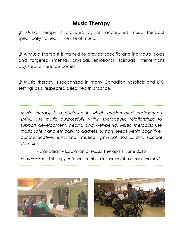# **Music Therapy**

♪ Music therapy is provided by an accredited music therapist specifically trained in the use of music.

♪ A music therapist is trained to provide specific and individual goals and targeted (mental, physical, emotional, spiritual) interventions adjusted to meet outcomes.

■ Music therapy is recognized in many Canadian hospitals and LTC settings as a respected allied health practice.

*Music therapy is a discipline in which credentialed professionals (MTA) use music purposefully within therapeutic relationships to support development, health, and well-being. Music therapists use music safely and ethically to address human needs within cognitive, communicative, emotional, musical, physical, social, and spiritual domains.* 

- Canadian Association of Music Therapists, June 2016

http://www.musictherapy.ca/about-camt-music-therapy/about-music-therapy/



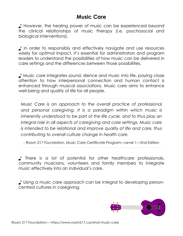# **Music Care**

■ However, the healing power of music can be experienced beyond the clinical relationships of music therapy (i.e. psychosocial and biological interventions).

♪ In order to responsibly and effectively navigate and use resources wisely for optimal impact, it's essential for administrators and program leaders to understand the possibilities of how music can be delivered in care settings and the differences between those possibilities.

♪ Music care integrates sound, silence and music into life, paying close attention to how interpersonal connection and human contact is enhanced through musical associations. Music care aims to enhance well-being and quality of life for all people.

*Music Care is an approach to the overall practice of professional*  and personal caregiving. It is a paradigm within which music is *inherently understood to be part of the life cycle, and to thus play an* integral role in all aspects of caregiving and care settings. Music care *is intended to be relational and improve quality of life and care, thus contributing to overall culture change in health care.*

- Room 217 Foundation, Music Care Certificate Program—Level 1—2nd Edition

♪ There is a lot of potential for other healthcare professionals, community musicians, volunteers and family members to integrate music effectively into an individual's care.

♪ Using a music care approach can be integral to developing personcentred cultures in caregiving.

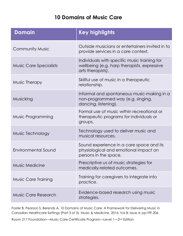# **10 Domains of Music Care**

| <b>Domain</b>                 | <b>Key highlights</b>                                                                                            |
|-------------------------------|------------------------------------------------------------------------------------------------------------------|
| <b>Community Music</b>        | Outside musicians or entertainers invited in to<br>provide services in a care context.                           |
| <b>Music Care Specialists</b> | Individuals with specific music training for<br>wellbeing (e.g. harp therapists, expressive<br>arts therapists). |
| Music Therapy                 | Skillful use of music in a therapeutic<br>relationship.                                                          |
| Musicking                     | Informal and spontaneous music-making in a<br>non-programmed way (e.g. singing,<br>dancing, listening).          |
| Music Programming             | Formal use of music within recreational or<br>therapeutic programs for individuals or<br>groups.                 |
| Music Technology              | Technology used to deliver music and<br>musical resources.                                                       |
| Environmental Sound           | Sound experience in a care space and its<br>physiological and emotional impact on<br>persons in the space.       |
| <b>Music Medicine</b>         | Prescriptive us of music strategies for<br>medically-related outcomes.                                           |
| <b>Music Care Training</b>    | Training for caregivers to integrate into<br>practice.                                                           |
| <b>Music Care Research</b>    | Evidence-based research using music<br>strategies.                                                               |

Foster B, Pearson S, Berends A. 10 Domains of Music Care: A Framework for Delivering Music in Canadian Healthcare Settings (Part 3 of 3). Music & Medicine. 2016; Vol 8; Issue 4; pp199-206

Room 217 Foundation—Music Care Certificate Program—Level 1—2nd Edition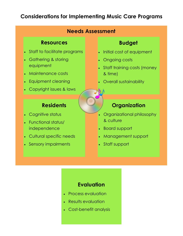# **Considerations for Implementing Music Care Programs**

## **Needs Assessment**

#### **Resources**

- Staff to facilitate programs
- Gathering & storing equipment
- Maintenance costs
- Equipment cleaning
- Copyright issues & laws

## **Residents**

- Cognitive status
- Functional status/ independence
- Cultural specific needs
- Sensory impairments

## **Budget**

- Initial cost of equipment
- Ongoing costs
- Staff training costs (money & time)
- Overall sustainability

# **Organization**

- Organizational philosophy & culture
- Board support
- Management support
- Staff support

#### **Evaluation**

- Process evaluation
- Results evaluation
- Cost-benefit analysis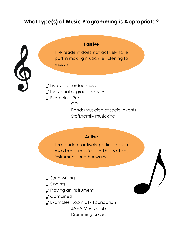# **What Type(s) of Music Programming is Appropriate?**

#### **Passive**

The resident does not actively take part in making music (i.e. listening to music)

- ♪ Live vs. recorded music
- ♪ Individual or group activity
- ♪ Examples: iPods

CDs

Bands/musician at social events Staff/family musicking

#### **Active**

The resident actively participates in making music with voice, instruments or other ways.

- Song writing
- ♪ Singing
- ♪ Playing an instrument
- ♪ Combined
- ♪ Examples: Room 217 Foundation

JAVA Music Club

Drumming circles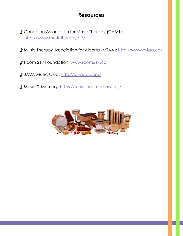# **Resources**

- ♪ Canadian Association for Music Therapy (CAMT): <http://www.musictherapy.ca/>
- ♪ Music Therapy Association for Alberta (MTAA): <http://www.mtaa.ca/>
- ♪ Room 217 Foundation: [www.room217.ca](https://www.room217.ca/)
- ♪ JAVA Music Club: <http://javagp.com/>
- ♪ Music & Memory: <https://musicandmemory.org/>